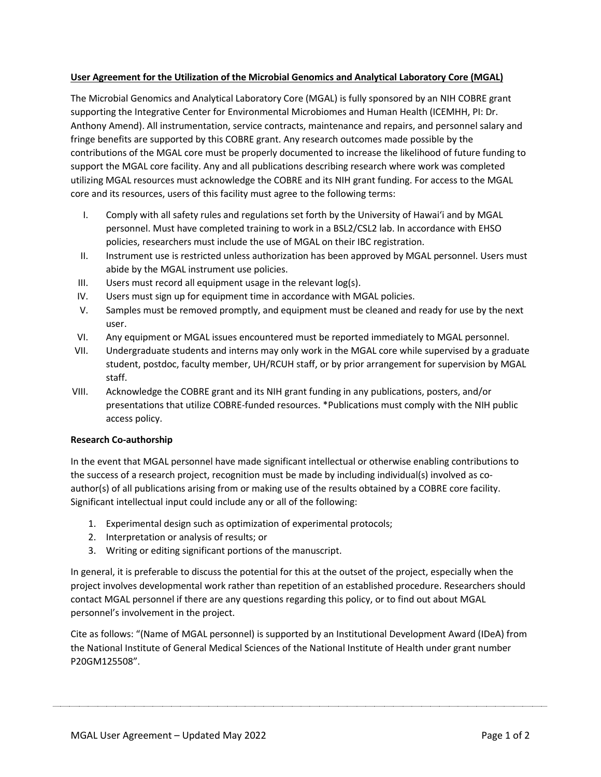## **User Agreement for the Utilization of the Microbial Genomics and Analytical Laboratory Core (MGAL)**

The Microbial Genomics and Analytical Laboratory Core (MGAL) is fully sponsored by an NIH COBRE grant supporting the Integrative Center for Environmental Microbiomes and Human Health (ICEMHH, PI: Dr. Anthony Amend). All instrumentation, service contracts, maintenance and repairs, and personnel salary and fringe benefits are supported by this COBRE grant. Any research outcomes made possible by the contributions of the MGAL core must be properly documented to increase the likelihood of future funding to support the MGAL core facility. Any and all publications describing research where work was completed utilizing MGAL resources must acknowledge the COBRE and its NIH grant funding. For access to the MGAL core and its resources, users of this facility must agree to the following terms:

- I. Comply with all safety rules and regulations set forth by the University of Hawaiʻi and by MGAL personnel. Must have completed training to work in a BSL2/CSL2 lab. In accordance with EHSO policies, researchers must include the use of MGAL on their IBC registration.
- II. Instrument use is restricted unless authorization has been approved by MGAL personnel. Users must abide by the MGAL instrument use policies.
- III. Users must record all equipment usage in the relevant log(s).
- IV. Users must sign up for equipment time in accordance with MGAL policies.
- V. Samples must be removed promptly, and equipment must be cleaned and ready for use by the next user.
- VI. Any equipment or MGAL issues encountered must be reported immediately to MGAL personnel.
- VII. Undergraduate students and interns may only work in the MGAL core while supervised by a graduate student, postdoc, faculty member, UH/RCUH staff, or by prior arrangement for supervision by MGAL staff.
- VIII. Acknowledge the COBRE grant and its NIH grant funding in any publications, posters, and/or presentations that utilize COBRE-funded resources. \*Publications must comply with the NIH public access policy.

# **Research Co-authorship**

In the event that MGAL personnel have made significant intellectual or otherwise enabling contributions to the success of a research project, recognition must be made by including individual(s) involved as coauthor(s) of all publications arising from or making use of the results obtained by a COBRE core facility. Significant intellectual input could include any or all of the following:

- 1. Experimental design such as optimization of experimental protocols;
- 2. Interpretation or analysis of results; or
- 3. Writing or editing significant portions of the manuscript.

In general, it is preferable to discuss the potential for this at the outset of the project, especially when the project involves developmental work rather than repetition of an established procedure. Researchers should contact MGAL personnel if there are any questions regarding this policy, or to find out about MGAL personnel's involvement in the project.

Cite as follows: "(Name of MGAL personnel) is supported by an Institutional Development Award (IDeA) from the National Institute of General Medical Sciences of the National Institute of Health under grant number P20GM125508".